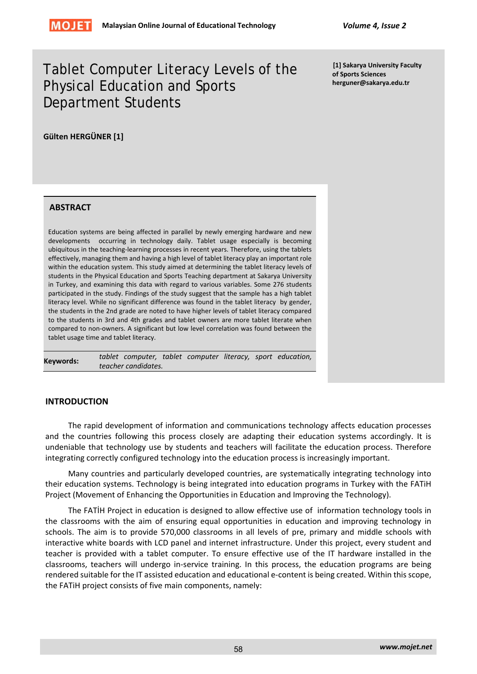# Tablet Computer Literacy Levels of the Physical Education and Sports Department Students

**[1] Sakarya University Faculty of Sports Sciences herguner@sakarya.edu.tr**

**Gülten HERGÜNER [1]** 

#### **ABSTRACT**

Education systems are being affected in parallel by newly emerging hardware and new developments occurring in technology daily. Tablet usage especially is becoming ubiquitous in the teaching‐learning processes in recent years. Therefore, using the tablets effectively, managing them and having a high level of tablet literacy play an important role within the education system. This study aimed at determining the tablet literacy levels of students in the Physical Education and Sports Teaching department at Sakarya University in Turkey, and examining this data with regard to various variables. Some 276 students participated in the study. Findings of the study suggest that the sample has a high tablet literacy level. While no significant difference was found in the tablet literacy by gender, the students in the 2nd grade are noted to have higher levels of tablet literacy compared to the students in 3rd and 4th grades and tablet owners are more tablet literate when compared to non‐owners. A significant but low level correlation was found between the tablet usage time and tablet literacy.

**Keywords:**  *tablet computer, tablet computer literacy, sport education, teacher candidates.*

#### **INTRODUCTION**

The rapid development of information and communications technology affects education processes and the countries following this process closely are adapting their education systems accordingly. It is undeniable that technology use by students and teachers will facilitate the education process. Therefore integrating correctly configured technology into the education process is increasingly important.

Many countries and particularly developed countries, are systematically integrating technology into their education systems. Technology is being integrated into education programs in Turkey with the FATiH Project (Movement of Enhancing the Opportunities in Education and Improving the Technology).

The FATİH Project in education is designed to allow effective use of information technology tools in the classrooms with the aim of ensuring equal opportunities in education and improving technology in schools. The aim is to provide 570,000 classrooms in all levels of pre, primary and middle schools with interactive white boards with LCD panel and internet infrastructure. Under this project, every student and teacher is provided with a tablet computer. To ensure effective use of the IT hardware installed in the classrooms, teachers will undergo in‐service training. In this process, the education programs are being rendered suitable for the IT assisted education and educational e-content is being created. Within this scope, the FATiH project consists of five main components, namely: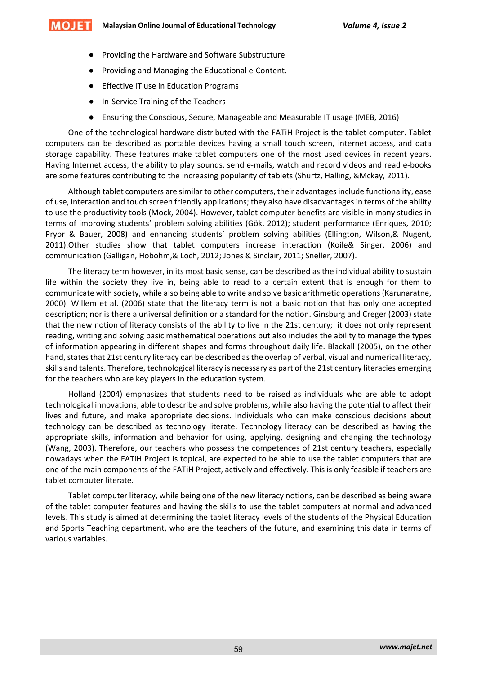- Providing the Hardware and Software Substructure
- Providing and Managing the Educational e-Content.
- Effective IT use in Education Programs
- In-Service Training of the Teachers
- Ensuring the Conscious, Secure, Manageable and Measurable IT usage (MEB, 2016)

One of the technological hardware distributed with the FATiH Project is the tablet computer. Tablet computers can be described as portable devices having a small touch screen, internet access, and data storage capability. These features make tablet computers one of the most used devices in recent years. Having Internet access, the ability to play sounds, send e-mails, watch and record videos and read e-books are some features contributing to the increasing popularity of tablets (Shurtz, Halling, &Mckay, 2011).

Although tablet computers are similar to other computers, their advantages include functionality, ease of use, interaction and touch screen friendly applications; they also have disadvantagesin terms of the ability to use the productivity tools (Mock, 2004). However, tablet computer benefits are visible in many studies in terms of improving students' problem solving abilities (Gök, 2012); student performance (Enriques, 2010; Pryor & Bauer, 2008) and enhancing students' problem solving abilities (Ellington, Wilson,& Nugent, 2011).Other studies show that tablet computers increase interaction (Koile& Singer, 2006) and communication (Galligan, Hobohm,& Loch, 2012; Jones & Sinclair, 2011; Sneller, 2007).

The literacy term however, in its most basic sense, can be described as the individual ability to sustain life within the society they live in, being able to read to a certain extent that is enough for them to communicate with society, while also being able to write and solve basic arithmetic operations (Karunaratne, 2000). Willem et al. (2006) state that the literacy term is not a basic notion that has only one accepted description; nor is there a universal definition or a standard for the notion. Ginsburg and Creger (2003) state that the new notion of literacy consists of the ability to live in the 21st century; it does not only represent reading, writing and solving basic mathematical operations but also includes the ability to manage the types of information appearing in different shapes and forms throughout daily life. Blackall (2005), on the other hand, states that 21st century literacy can be described as the overlap of verbal, visual and numerical literacy, skills and talents. Therefore, technological literacy is necessary as part of the 21st century literacies emerging for the teachers who are key players in the education system.

Holland (2004) emphasizes that students need to be raised as individuals who are able to adopt technological innovations, able to describe and solve problems, while also having the potential to affect their lives and future, and make appropriate decisions. Individuals who can make conscious decisions about technology can be described as technology literate. Technology literacy can be described as having the appropriate skills, information and behavior for using, applying, designing and changing the technology (Wang, 2003). Therefore, our teachers who possess the competences of 21st century teachers, especially nowadays when the FATiH Project is topical, are expected to be able to use the tablet computers that are one of the main components of the FATiH Project, actively and effectively. This is only feasible if teachers are tablet computer literate.

Tablet computer literacy, while being one of the new literacy notions, can be described as being aware of the tablet computer features and having the skills to use the tablet computers at normal and advanced levels. This study is aimed at determining the tablet literacy levels of the students of the Physical Education and Sports Teaching department, who are the teachers of the future, and examining this data in terms of various variables.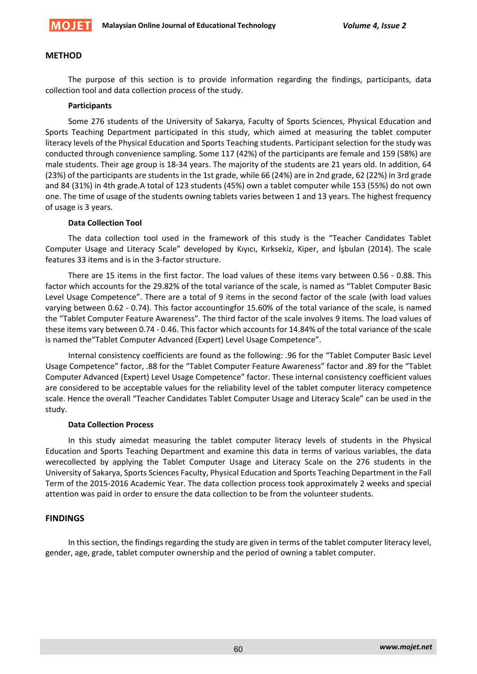

## **METHOD**

The purpose of this section is to provide information regarding the findings, participants, data collection tool and data collection process of the study.

## **Participants**

Some 276 students of the University of Sakarya, Faculty of Sports Sciences, Physical Education and Sports Teaching Department participated in this study, which aimed at measuring the tablet computer literacy levels of the Physical Education and Sports Teaching students. Participant selection for the study was conducted through convenience sampling. Some 117 (42%) of the participants are female and 159 (58%) are male students. Their age group is 18‐34 years. The majority of the students are 21 years old. In addition, 64 (23%) of the participants are students in the 1st grade, while 66 (24%) are in 2nd grade, 62 (22%) in 3rd grade and 84 (31%) in 4th grade.A total of 123 students (45%) own a tablet computer while 153 (55%) do not own one. The time of usage of the students owning tablets varies between 1 and 13 years. The highest frequency of usage is 3 years.

#### **Data Collection Tool**

The data collection tool used in the framework of this study is the "Teacher Candidates Tablet Computer Usage and Literacy Scale" developed by Kıyıcı, Kırksekiz, Kiper, and İşbulan (2014). The scale features 33 items and is in the 3‐factor structure.

There are 15 items in the first factor. The load values of these items vary between 0.56 ‐ 0.88. This factor which accounts for the 29.82% of the total variance of the scale, is named as "Tablet Computer Basic Level Usage Competence". There are a total of 9 items in the second factor of the scale (with load values varying between 0.62 ‐ 0.74). This factor accountingfor 15.60% of the total variance of the scale, is named the "Tablet Computer Feature Awareness". The third factor of the scale involves 9 items. The load values of these items vary between 0.74 ‐ 0.46. This factor which accounts for 14.84% of the total variance of the scale is named the"Tablet Computer Advanced (Expert) Level Usage Competence".

Internal consistency coefficients are found as the following: .96 for the "Tablet Computer Basic Level Usage Competence" factor, .88 for the "Tablet Computer Feature Awareness" factor and .89 for the "Tablet Computer Advanced (Expert) Level Usage Competence" factor. These internal consistency coefficient values are considered to be acceptable values for the reliability level of the tablet computer literacy competence scale. Hence the overall "Teacher Candidates Tablet Computer Usage and Literacy Scale" can be used in the study.

#### **Data Collection Process**

In this study aimedat measuring the tablet computer literacy levels of students in the Physical Education and Sports Teaching Department and examine this data in terms of various variables, the data werecollected by applying the Tablet Computer Usage and Literacy Scale on the 276 students in the University of Sakarya, Sports Sciences Faculty, Physical Education and Sports Teaching Department in the Fall Term of the 2015‐2016 Academic Year. The data collection process took approximately 2 weeks and special attention was paid in order to ensure the data collection to be from the volunteer students.

# **FINDINGS**

In this section, the findings regarding the study are given in terms of the tablet computer literacy level, gender, age, grade, tablet computer ownership and the period of owning a tablet computer.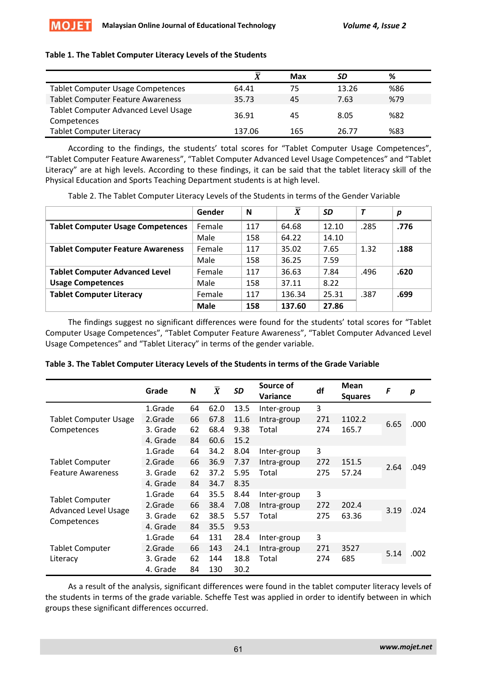# **Table 1. The Tablet Computer Literacy Levels of the Students**

|                                                            | v      | Max | SD    | ℅   |
|------------------------------------------------------------|--------|-----|-------|-----|
| <b>Tablet Computer Usage Competences</b>                   | 64.41  | 75  | 13.26 | %86 |
| <b>Tablet Computer Feature Awareness</b>                   | 35.73  | 45  | 7.63  | %79 |
| <b>Tablet Computer Advanced Level Usage</b><br>Competences | 36.91  | 45  | 8.05  | %82 |
| <b>Tablet Computer Literacy</b>                            | 137.06 | 165 | 26.77 | %83 |

According to the findings, the students' total scores for "Tablet Computer Usage Competences", "Tablet Computer Feature Awareness", "Tablet Computer Advanced Level Usage Competences" and "Tablet Literacy" are at high levels. According to these findings, it can be said that the tablet literacy skill of the Physical Education and Sports Teaching Department students is at high level.

Table 2. The Tablet Computer Literacy Levels of the Students in terms of the Gender Variable

|                                          | Gender      | N   | $\boldsymbol{X}$ | <b>SD</b> |      | p    |
|------------------------------------------|-------------|-----|------------------|-----------|------|------|
| <b>Tablet Computer Usage Competences</b> | Female      | 117 | 64.68            | 12.10     | .285 | .776 |
|                                          | Male        | 158 | 64.22            | 14.10     |      |      |
| <b>Tablet Computer Feature Awareness</b> | Female      | 117 | 35.02            | 7.65      | 1.32 | .188 |
|                                          | Male        | 158 | 36.25            | 7.59      |      |      |
| <b>Tablet Computer Advanced Level</b>    | Female      | 117 | 36.63            | 7.84      | .496 | .620 |
| <b>Usage Competences</b>                 | Male        | 158 | 37.11            | 8.22      |      |      |
| <b>Tablet Computer Literacy</b>          | Female      | 117 | 136.34           | 25.31     | .387 | .699 |
|                                          | <b>Male</b> | 158 | 137.60           | 27.86     |      |      |

The findings suggest no significant differences were found for the students' total scores for "Tablet Computer Usage Competences", "Tablet Computer Feature Awareness", "Tablet Computer Advanced Level Usage Competences" and "Tablet Literacy" in terms of the gender variable.

|  | Table 3. The Tablet Computer Literacy Levels of the Students in terms of the Grade Variable |  |  |  |  |  |
|--|---------------------------------------------------------------------------------------------|--|--|--|--|--|

|                                                                      | Grade    | N  | $\overline{\bm{X}}$ | <b>SD</b> | Source of<br>Variance | df  | Mean<br><b>Squares</b> | F    | p    |
|----------------------------------------------------------------------|----------|----|---------------------|-----------|-----------------------|-----|------------------------|------|------|
|                                                                      | 1.Grade  | 64 | 62.0                | 13.5      | Inter-group           | 3   |                        |      |      |
| <b>Tablet Computer Usage</b>                                         | 2.Grade  | 66 | 67.8                | 11.6      | Intra-group           | 271 | 1102.2                 | 6.65 | .000 |
| Competences                                                          | 3. Grade | 62 | 68.4                | 9.38      | Total                 | 274 | 165.7                  |      |      |
|                                                                      | 4. Grade | 84 | 60.6                | 15.2      |                       |     |                        |      |      |
|                                                                      | 1.Grade  | 64 | 34.2                | 8.04      | Inter-group           | 3   |                        |      |      |
| <b>Tablet Computer</b>                                               | 2.Grade  | 66 | 36.9                | 7.37      | Intra-group           | 272 | 151.5                  |      |      |
| <b>Feature Awareness</b>                                             | 3. Grade | 62 | 37.2                | 5.95      | Total                 | 275 | 57.24                  | 2.64 | .049 |
|                                                                      | 4. Grade | 84 | 34.7                | 8.35      |                       |     |                        |      |      |
|                                                                      | 1.Grade  | 64 | 35.5                | 8.44      | Inter-group           | 3   |                        |      |      |
| <b>Tablet Computer</b><br><b>Advanced Level Usage</b><br>Competences | 2.Grade  | 66 | 38.4                | 7.08      | Intra-group           | 272 | 202.4                  |      |      |
|                                                                      | 3. Grade | 62 | 38.5                | 5.57      | Total                 | 275 | 63.36                  | 3.19 | .024 |
|                                                                      | 4. Grade | 84 | 35.5                | 9.53      |                       |     |                        |      |      |
|                                                                      | 1.Grade  | 64 | 131                 | 28.4      | Inter-group           | 3   |                        |      |      |
| <b>Tablet Computer</b>                                               | 2.Grade  | 66 | 143                 | 24.1      | Intra-group           | 271 | 3527                   |      |      |
| Literacy                                                             | 3. Grade | 62 | 144                 | 18.8      | Total                 | 274 | 685                    | 5.14 | .002 |
|                                                                      | 4. Grade | 84 | 130                 | 30.2      |                       |     |                        |      |      |

As a result of the analysis, significant differences were found in the tablet computer literacy levels of the students in terms of the grade variable. Scheffe Test was applied in order to identify between in which groups these significant differences occurred.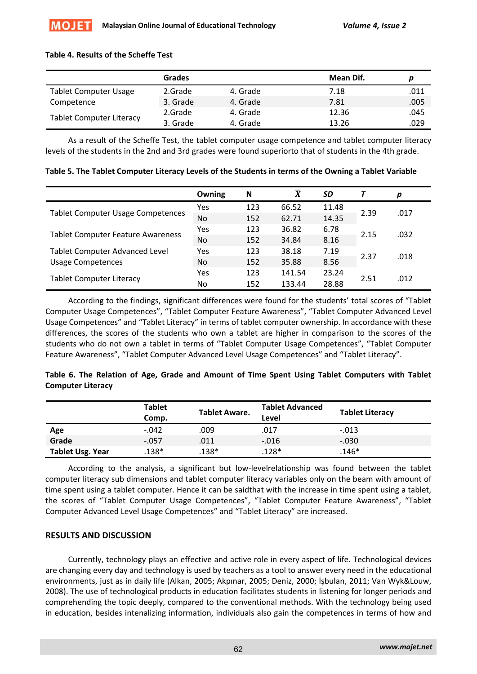## **Table 4. Results of the Scheffe Test**

|                                 | Grades   |          | Mean Dif. |      |
|---------------------------------|----------|----------|-----------|------|
| <b>Tablet Computer Usage</b>    | 2.Grade  | 4. Grade | 7.18      | .011 |
| Competence                      | 3. Grade | 4. Grade | 7.81      | .005 |
|                                 | 2.Grade  | 4. Grade | 12.36     | .045 |
| <b>Tablet Computer Literacy</b> | 3. Grade | 4. Grade | 13.26     | .029 |

As a result of the Scheffe Test, the tablet computer usage competence and tablet computer literacy levels of the students in the 2nd and 3rd grades were found superiorto that of students in the 4th grade.

|                                          | Owning     | N   | $\overline{X}$ | SD    |      | р    |
|------------------------------------------|------------|-----|----------------|-------|------|------|
|                                          | Yes        | 123 | 66.52          | 11.48 | 2.39 | .017 |
| <b>Tablet Computer Usage Competences</b> | <b>No</b>  | 152 | 62.71          | 14.35 |      |      |
|                                          | <b>Yes</b> | 123 | 36.82          | 6.78  | 2.15 | .032 |
| <b>Tablet Computer Feature Awareness</b> | <b>No</b>  | 152 | 34.84          | 8.16  |      |      |
| <b>Tablet Computer Advanced Level</b>    | Yes        | 123 | 38.18          | 7.19  |      |      |
| <b>Usage Competences</b>                 | <b>No</b>  | 152 | 35.88          | 8.56  | 2.37 | .018 |
|                                          | Yes        | 123 | 141.54         | 23.24 |      |      |
| <b>Tablet Computer Literacy</b>          | No         | 152 | 133.44         | 28.88 | 2.51 | .012 |

Table 5. The Tablet Computer Literacy Levels of the Students in terms of the Owning a Tablet Variable

According to the findings, significant differences were found for the students' total scores of "Tablet Computer Usage Competences", "Tablet Computer Feature Awareness", "Tablet Computer Advanced Level Usage Competences" and "Tablet Literacy" in terms of tablet computer ownership. In accordance with these differences, the scores of the students who own a tablet are higher in comparison to the scores of the students who do not own a tablet in terms of "Tablet Computer Usage Competences", "Tablet Computer Feature Awareness", "Tablet Computer Advanced Level Usage Competences" and "Tablet Literacy".

# **Table 6. The Relation of Age, Grade and Amount of Time Spent Using Tablet Computers with Tablet Computer Literacy**

|                         | <b>Tablet</b><br>Comp. | <b>Tablet Aware.</b> | <b>Tablet Advanced</b><br>Level | <b>Tablet Literacy</b> |
|-------------------------|------------------------|----------------------|---------------------------------|------------------------|
| Age                     | $-.042$                | .009                 | .017                            | $-.013$                |
| Grade                   | $-.057$                | .011                 | $-.016$                         | $-.030$                |
| <b>Tablet Usg. Year</b> | 138*                   | 138*                 | $.128*$                         | $.146*$                |

According to the analysis, a significant but low‐levelrelationship was found between the tablet computer literacy sub dimensions and tablet computer literacy variables only on the beam with amount of time spent using a tablet computer. Hence it can be saidthat with the increase in time spent using a tablet, the scores of "Tablet Computer Usage Competences", "Tablet Computer Feature Awareness", "Tablet Computer Advanced Level Usage Competences" and "Tablet Literacy" are increased.

# **RESULTS AND DISCUSSION**

Currently, technology plays an effective and active role in every aspect of life. Technological devices are changing every day and technology is used by teachers as a tool to answer every need in the educational environments, just as in daily life (Alkan, 2005; Akpınar, 2005; Deniz, 2000; İşbulan, 2011; Van Wyk&Louw, 2008). The use of technological products in education facilitates students in listening for longer periods and comprehending the topic deeply, compared to the conventional methods. With the technology being used in education, besides intenalizing information, individuals also gain the competences in terms of how and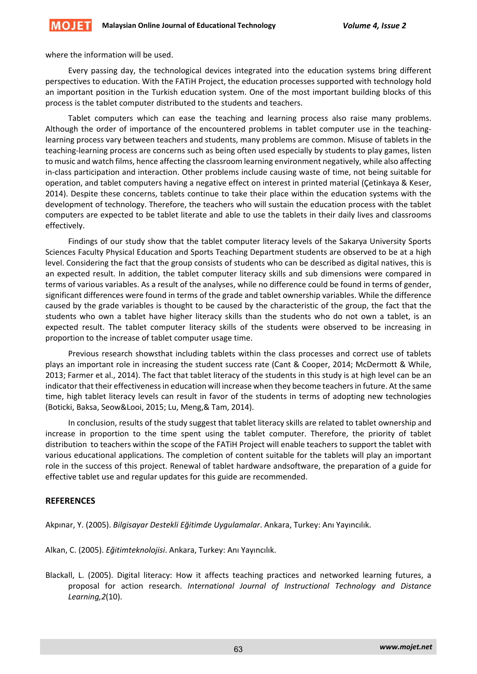where the information will be used.

Every passing day, the technological devices integrated into the education systems bring different perspectives to education. With the FATiH Project, the education processes supported with technology hold an important position in the Turkish education system. One of the most important building blocks of this process is the tablet computer distributed to the students and teachers.

Tablet computers which can ease the teaching and learning process also raise many problems. Although the order of importance of the encountered problems in tablet computer use in the teaching‐ learning process vary between teachers and students, many problems are common. Misuse of tablets in the teaching‐learning process are concerns such as being often used especially by students to play games, listen to music and watch films, hence affecting the classroom learning environment negatively, while also affecting in-class participation and interaction. Other problems include causing waste of time, not being suitable for operation, and tablet computers having a negative effect on interest in printed material (Çetinkaya & Keser, 2014). Despite these concerns, tablets continue to take their place within the education systems with the development of technology. Therefore, the teachers who will sustain the education process with the tablet computers are expected to be tablet literate and able to use the tablets in their daily lives and classrooms effectively.

Findings of our study show that the tablet computer literacy levels of the Sakarya University Sports Sciences Faculty Physical Education and Sports Teaching Department students are observed to be at a high level. Considering the fact that the group consists of students who can be described as digital natives, this is an expected result. In addition, the tablet computer literacy skills and sub dimensions were compared in terms of various variables. As a result of the analyses, while no difference could be found in terms of gender, significant differences were found in terms of the grade and tablet ownership variables. While the difference caused by the grade variables is thought to be caused by the characteristic of the group, the fact that the students who own a tablet have higher literacy skills than the students who do not own a tablet, is an expected result. The tablet computer literacy skills of the students were observed to be increasing in proportion to the increase of tablet computer usage time.

Previous research showsthat including tablets within the class processes and correct use of tablets plays an important role in increasing the student success rate (Cant & Cooper, 2014; McDermott & While, 2013; Farmer et al., 2014). The fact that tablet literacy of the students in this study is at high level can be an indicator that their effectivenessin education will increase when they become teachersin future. At the same time, high tablet literacy levels can result in favor of the students in terms of adopting new technologies (Boticki, Baksa, Seow&Looi, 2015; Lu, Meng,& Tam, 2014).

In conclusion, results of the study suggest that tablet literacy skills are related to tablet ownership and increase in proportion to the time spent using the tablet computer. Therefore, the priority of tablet distribution to teachers within the scope of the FATiH Project will enable teachers to support the tablet with various educational applications. The completion of content suitable for the tablets will play an important role in the success of this project. Renewal of tablet hardware andsoftware, the preparation of a guide for effective tablet use and regular updates for this guide are recommended.

# **REFERENCES**

Akpınar, Y. (2005). *Bilgisayar Destekli Eğitimde Uygulamalar*. Ankara, Turkey: Anı Yayıncılık.

Alkan, C. (2005). *Eğitimteknolojisi*. Ankara, Turkey: Anı Yayıncılık.

Blackall, L. (2005). Digital literacy: How it affects teaching practices and networked learning futures, a proposal for action research. *International Journal of Instructional Technology and Distance Learning,2*(10).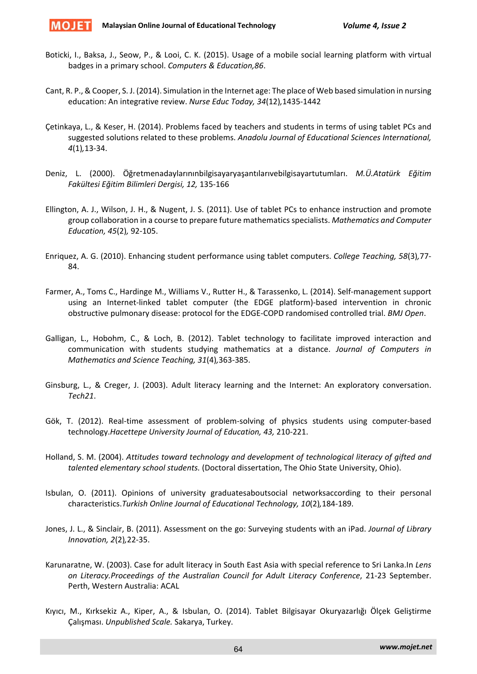

- Boticki, I., Baksa, J., Seow, P., & Looi, C. K. (2015). Usage of a mobile social learning platform with virtual badges in a primary school. *Computers & Education,86*.
- Cant, R. P., & Cooper, S. J. (2014). Simulation in the Internet age: The place of Web based simulation in nursing education: An integrative review. *Nurse Educ Today, 34*(12)*,*1435‐1442
- Çetinkaya, L., & Keser, H. (2014). Problems faced by teachers and students in terms of using tablet PCs and suggested solutions related to these problems. *Anadolu Journal of Educational Sciences International, 4*(1)*,*13‐34.
- Deniz, L. (2000). Öğretmenadaylarınınbilgisayaryaşantılarıvebilgisayartutumları. *M.Ü.Atatürk Eğitim Fakültesi Eğitim Bilimleri Dergisi, 12,* 135‐166
- Ellington, A. J., Wilson, J. H., & Nugent, J. S. (2011). Use of tablet PCs to enhance instruction and promote group collaboration in a course to prepare future mathematicsspecialists. *Mathematics and Computer Education, 45*(2)*,* 92‐105.
- Enriquez, A. G. (2010). Enhancing student performance using tablet computers. *College Teaching, 58*(3)*,*77‐ 84.
- Farmer, A., Toms C., Hardinge M., Williams V., Rutter H., & Tarassenko, L. (2014). Self‐management support using an Internet‐linked tablet computer (the EDGE platform)‐based intervention in chronic obstructive pulmonary disease: protocol for the EDGE‐COPD randomised controlled trial. *BMJ Open*.
- Galligan, L., Hobohm, C., & Loch, B. (2012). Tablet technology to facilitate improved interaction and communication with students studying mathematics at a distance. *Journal of Computers in Mathematics and Science Teaching, 31*(4)*,*363‐385.
- Ginsburg, L., & Creger, J. (2003). Adult literacy learning and the Internet: An exploratory conversation. *Tech21*.
- Gök, T. (2012). Real-time assessment of problem-solving of physics students using computer-based technology.*Hacettepe University Journal of Education, 43,* 210‐221.
- Holland, S. M. (2004). *Attitudes toward technology and development of technological literacy of gifted and talented elementary school students.* (Doctoral dissertation, The Ohio State University, Ohio).
- Isbulan, O. (2011). Opinions of university graduatesaboutsocial networksaccording to their personal characteristics.*Turkish Online Journal of Educational Technology, 10*(2)*,*184‐189.
- Jones, J. L., & Sinclair, B. (2011). Assessment on the go: Surveying students with an iPad. *Journal of Library Innovation, 2*(2)*,*22‐35.
- Karunaratne, W. (2003). Case for adult literacy in South East Asia with special reference to Sri Lanka.In *Lens on Literacy.Proceedings of the Australian Council for Adult Literacy Conference*, 21‐23 September. Perth, Western Australia: ACAL
- Kıyıcı, M., Kırksekiz A., Kiper, A., & Isbulan, O. (2014). Tablet Bilgisayar Okuryazarlığı Ölçek Geliştirme Çalışması. *Unpublished Scale.* Sakarya, Turkey.